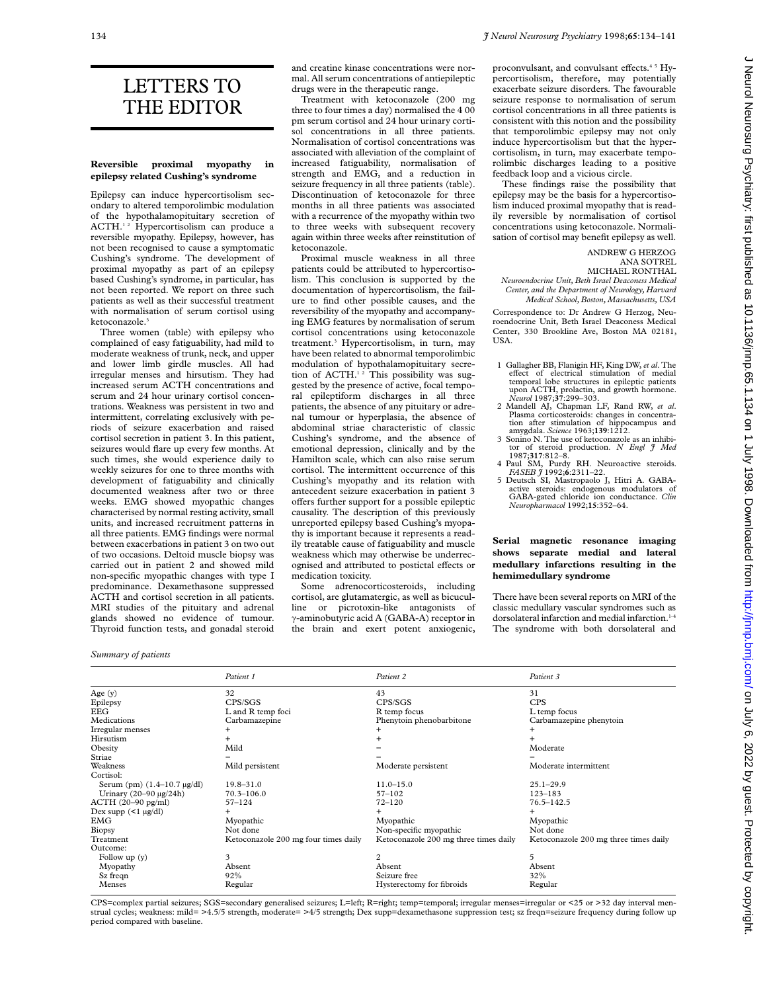# LETTERS TO THE EDITOR

### **Reversible proximal myopathy epilepsy related Cushing's syndrome**

Epilepsy can induce hypercortisolism secondary to altered temporolimbic modulation of the hypothalamopituitary secretion of ACTH.<sup>12</sup> Hypercortisolism can produce a reversible myopathy. Epilepsy, however, has not been recognised to cause a symptomatic Cushing's syndrome. The development of proximal myopathy as part of an epilepsy based Cushing's syndrome, in particular, has not been reported. We report on three such patients as well as their successful treatment with normalisation of serum cortisol using ketoconazole<sup>3</sup>

Three women (table) with epilepsy who complained of easy fatiguability, had mild to moderate weakness of trunk, neck, and upper and lower limb girdle muscles. All had irregular menses and hirsutism. They had increased serum ACTH concentrations and serum and 24 hour urinary cortisol concentrations. Weakness was persistent in two and intermittent, correlating exclusively with periods of seizure exacerbation and raised cortisol secretion in patient 3. In this patient, seizures would flare up every few months. At such times, she would experience daily to weekly seizures for one to three months with development of fatiguability and clinically documented weakness after two or three weeks. EMG showed myopathic changes characterised by normal resting activity, small units, and increased recruitment patterns in all three patients. EMG findings were normal between exacerbations in patient 3 on two out of two occasions. Deltoid muscle biopsy was carried out in patient 2 and showed mild non-specific myopathic changes with type I predominance. Dexamethasone suppressed ACTH and cortisol secretion in all patients. MRI studies of the pituitary and adrenal glands showed no evidence of tumour. Thyroid function tests, and gonadal steroid

and creatine kinase concentrations were normal. All serum concentrations of antiepileptic drugs were in the therapeutic range.

Treatment with ketoconazole (200 mg three to four times a day) normalised the 4 00 pm serum cortisol and 24 hour urinary cortisol concentrations in all three patients. Normalisation of cortisol concentrations was associated with alleviation of the complaint of increased fatiguability, normalisation of strength and EMG, and a reduction in seizure frequency in all three patients (table). Discontinuation of ketoconazole for three months in all three patients was associated with a recurrence of the myopathy within two to three weeks with subsequent recovery again within three weeks after reinstitution of ketoconazole.

Proximal muscle weakness in all three patients could be attributed to hypercortisolism. This conclusion is supported by the documentation of hypercortisolism, the failure to find other possible causes, and the reversibility of the myopathy and accompanying EMG features by normalisation of serum cortisol concentrations using ketoconazole treatment.<sup>3</sup> Hypercortisolism, in turn, may have been related to abnormal temporolimbic modulation of hypothalamopituitary secretion of ACTH.<sup>12</sup> This possibility was suggested by the presence of active, focal temporal epileptiform discharges in all three patients, the absence of any pituitary or adrenal tumour or hyperplasia, the absence of abdominal striae characteristic of classic Cushing's syndrome, and the absence of emotional depression, clinically and by the Hamilton scale, which can also raise serum cortisol. The intermittent occurrence of this Cushing's myopathy and its relation with antecedent seizure exacerbation in patient 3 offers further support for a possible epileptic causality. The description of this previously unreported epilepsy based Cushing's myopathy is important because it represents a readily treatable cause of fatiguability and muscle weakness which may otherwise be underrecognised and attributed to postictal effects or medication toxicity.

Some adrenocorticosteroids, including cortisol, are glutamatergic, as well as bicuculline or picrotoxin-like antagonists of ã-aminobutyric acid A (GABA-A) receptor in the brain and exert potent anxiogenic,

proconvulsant, and convulsant effects.<sup>45</sup> Hypercortisolism, therefore, may potentially exacerbate seizure disorders. The favourable seizure response to normalisation of serum cortisol concentrations in all three patients is consistent with this notion and the possibility that temporolimbic epilepsy may not only induce hypercortisolism but that the hypercortisolism, in turn, may exacerbate temporolimbic discharges leading to a positive feedback loop and a vicious circle.

These findings raise the possibility that epilepsy may be the basis for a hypercortisolism induced proximal myopathy that is readily reversible by normalisation of cortisol concentrations using ketoconazole. Normalisation of cortisol may benefit epilepsy as well.

### ANDREW G HERZOG ANA SOTREL

MICHAEL RONTHAL

*Neuroendocrine Unit, Beth Israel Deaconess Medical Center, and the Department of Neurology, Harvard Medical School, Boston, Massachusetts, USA*

Correspondence to: Dr Andrew G Herzog, Neuroendocrine Unit, Beth Israel Deaconess Medical Center, 330 Brookline Ave, Boston MA 02181, USA.

- 1 Gallagher BB, Flanigin HF, King DW, et al. The effect of electrical stimulation of medial temporal lobe structures in epileptic patients upon ACTH, prolactin, and growth hormone.
- *Neurol* 1987;**37**:299–303. 2 Mandell AJ, Chapman LF, Rand RW, *et al*. Plasma corticosteroids: changes in concentration after stimulation of hippocampus and amygdala. *Science* 1963;**139**:1212.
- 3 Sonino N. The use of ketoconazole as an inhibi-tor of steroid production. *N Engl J Med* 1987;**317**:812–8.
- 4 Paul SM, Purdy RH. Neuroactive steroids. *FASEB J* 1992;**6**:2311–22.
- 5 Deutsch SI, Mastropaolo J, Hitri A. GABA-active steroids: endogenous modulators of GABA-gated chloride ion conductance. *Clin Neuropharmacol* 1992;**15**:352–64.

# **Serial magnetic resonance imaging shows separate medial and lateral medullary infarctions resulting in the hemimedullary syndrome**

There have been several reports on MRI of the classic medullary vascular syndromes such as dorsolateral infarction and medial infarction.<sup>1-4</sup> The syndrome with both dorsolateral and

*Summary of patients*

|                                 | Patient 1                            | Patient 2                             | Patient 3                             |
|---------------------------------|--------------------------------------|---------------------------------------|---------------------------------------|
| Age $(y)$                       | 32                                   | 43                                    | 31                                    |
| Epilepsy                        | CPS/SGS                              | CPS/SGS                               | <b>CPS</b>                            |
| EEG                             | L and R temp foci                    | R temp focus                          | L temp focus                          |
| Medications                     | Carbamazepine                        | Phenytoin phenobarbitone              | Carbamazepine phenytoin               |
| Irregular menses                | $\ddot{}$                            | $\ddot{}$                             | $\ddot{}$                             |
| Hirsutism                       | $\ddot{}$                            | $\overline{+}$                        | $\ddot{}$                             |
| Obesity                         | Mild                                 |                                       | Moderate                              |
| Striae                          |                                      |                                       |                                       |
| Weakness                        | Mild persistent                      | Moderate persistent                   | Moderate intermittent                 |
| Cortisol:                       |                                      |                                       |                                       |
| Serum (pm) $(1.4-10.7 \mu g/d)$ | $19.8 - 31.0$                        | $11.0 - 15.0$                         | $25.1 - 29.9$                         |
| Urinary $(20-90 \mu g/24h)$     | $70.3 - 106.0$                       | $57 - 102$                            | $123 - 183$                           |
| $ACTH (20-90 pg/ml)$            | 57-124                               | $72 - 120$                            | $76.5 - 142.5$                        |
| Dex supp $($ 1 $\mu$ g/dl)      | $\ddot{}$                            | $+$                                   | $\ddot{}$                             |
| EMG                             | Myopathic                            | Myopathic                             | Myopathic                             |
| Biopsy                          | Not done                             | Non-specific myopathic                | Not done                              |
| Treatment                       | Ketoconazole 200 mg four times daily | Ketoconazole 200 mg three times daily | Ketoconazole 200 mg three times daily |
| Outcome:                        |                                      |                                       |                                       |
| Follow up $(y)$                 | 3                                    | 2                                     | 5                                     |
| Myopathy                        | Absent                               | Absent                                | Absent                                |
| Sz freqn                        | 92%                                  | Seizure free                          | 32%                                   |
| Menses                          | Regular                              | Hysterectomy for fibroids             | Regular                               |

CPS=complex partial seizures; SGS=secondary generalised seizures; L=left; R=right; temp=temporal; irregular menses=irregular or <25 or >32 day interval menstrual cycles; weakness: mild= >4.5/5 strength, moderate= >4/5 strength; Dex supp=dexamethasone suppression test; sz freqn=seizure frequency during follow up period compared with baseline.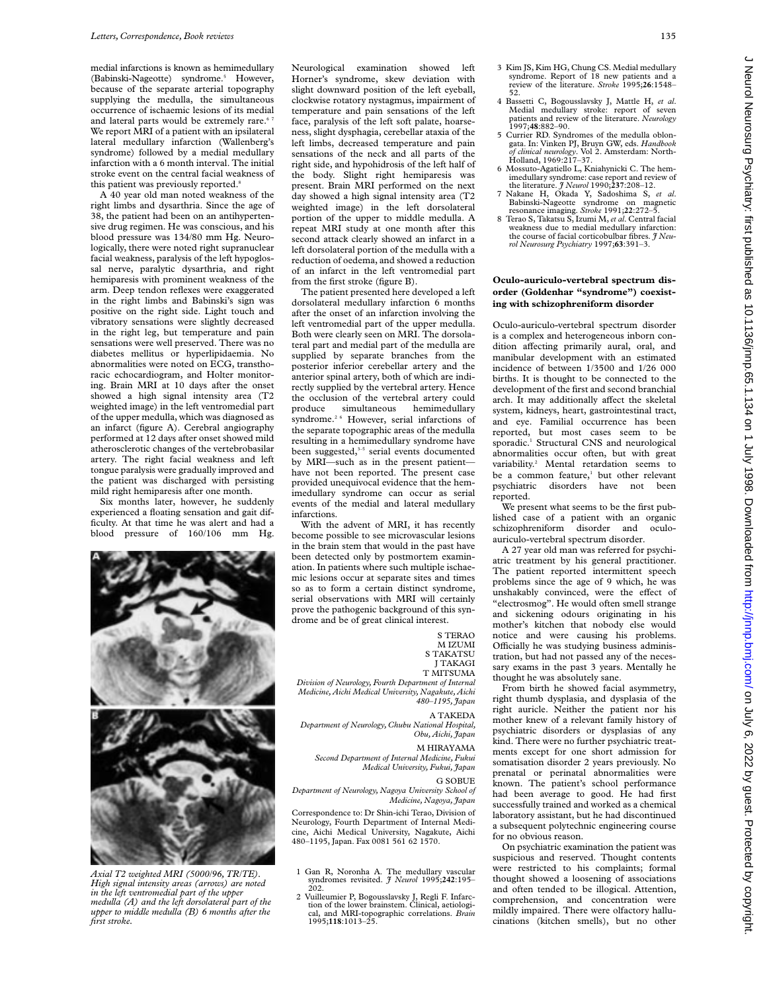medial infarctions is known as hemimedullary (Babinski-Nageotte) syndrome.<sup>5</sup> However, because of the separate arterial topography supplying the medulla, the simultaneous occurrence of ischaemic lesions of its medial and lateral parts would be extremely rare.<sup>67</sup> We report MRI of a patient with an ipsilateral lateral medullary infarction (Wallenberg's syndrome) followed by a medial medullary infarction with a 6 month interval. The initial stroke event on the central facial weakness of this patient was previously reported.<sup>8</sup>

A 40 year old man noted weakness of the right limbs and dysarthria. Since the age of 38, the patient had been on an antihypertensive drug regimen. He was conscious, and his blood pressure was 134/80 mm Hg. Neurologically, there were noted right supranuclear facial weakness, paralysis of the left hypoglossal nerve, paralytic dysarthria, and right hemiparesis with prominent weakness of the arm. Deep tendon reflexes were exaggerated in the right limbs and Babinski's sign was positive on the right side. Light touch and vibratory sensations were slightly decreased in the right leg, but temperature and pain sensations were well preserved. There was no diabetes mellitus or hyperlipidaemia. No abnormalities were noted on ECG, transthoracic echocardiogram, and Holter monitoring. Brain MRI at 10 days after the onset showed a high signal intensity area (T2 weighted image) in the left ventromedial part of the upper medulla, which was diagnosed as an infarct (figure A). Cerebral angiography performed at 12 days after onset showed mild atherosclerotic changes of the vertebrobasilar artery. The right facial weakness and left tongue paralysis were gradually improved and the patient was discharged with persisting mild right hemiparesis after one month.

Six months later, however, he suddenly experienced a floating sensation and gait difficulty. At that time he was alert and had a blood pressure of 160/106 mm Hg.



*Axial T2 weighted MRI (5000/96, TR/TE). High signal intensity areas (arrows) are noted in the left ventromedial part of the upper medulla (A) and the left dorsolateral part of the upper to middle medulla (B) 6 months after the first stroke.*

Neurological examination showed left Horner's syndrome, skew deviation with slight downward position of the left eyeball, clockwise rotatory nystagmus, impairment of temperature and pain sensations of the left face, paralysis of the left soft palate, hoarseness, slight dysphagia, cerebellar ataxia of the left limbs, decreased temperature and pain sensations of the neck and all parts of the right side, and hypohidrosis of the left half of the body. Slight right hemiparesis was present. Brain MRI performed on the next day showed a high signal intensity area (T2 weighted image) in the left dorsolateral portion of the upper to middle medulla. A repeat MRI study at one month after this second attack clearly showed an infarct in a left dorsolateral portion of the medulla with a reduction of oedema, and showed a reduction of an infarct in the left ventromedial part from the first stroke (figure B).

The patient presented here developed a left dorsolateral medullary infarction 6 months after the onset of an infarction involving the left ventromedial part of the upper medulla. Both were clearly seen on MRI. The dorsolateral part and medial part of the medulla are supplied by separate branches from the posterior inferior cerebellar artery and the anterior spinal artery, both of which are indirectly supplied by the vertebral artery. Hence the occlusion of the vertebral artery could produce simultaneous hemimedullary syndrome.<sup>26</sup> However, serial infarctions of the separate topographic areas of the medulla resulting in a hemimedullary syndrome have been suggested,<sup>3-5</sup> serial events documented by MRI—such as in the present patient have not been reported. The present case provided unequivocal evidence that the hemimedullary syndrome can occur as serial events of the medial and lateral medullary infarctions.

With the advent of MRI, it has recently become possible to see microvascular lesions in the brain stem that would in the past have been detected only by postmortem examination. In patients where such multiple ischaemic lesions occur at separate sites and times so as to form a certain distinct syndrome, serial observations with MRI will certainly prove the pathogenic background of this syndrome and be of great clinical interest.

> S TERAO M IZUMI S TAKATSU J TAKAGI T MITSUMA

*Division of Neurology, Fourth Department of Internal Medicine, Aichi Medical University, Nagakute, Aichi 480–1195, Japan*

A TAKEDA

*Department of Neurology, Chubu National Hospital, Obu, Aichi, Japan*

M HIRAYAMA

*Second Department of Internal Medicine, Fukui Medical University, Fukui, Japan*

G SOBUE

*Department of Neurology, Nagoya University School of Medicine, Nagoya, Japan*

Correspondence to: Dr Shin-ichi Terao, Division of Neurology, Fourth Department of Internal Medicine, Aichi Medical University, Nagakute, Aichi 480–1195, Japan. Fax 0081 561 62 1570.

- 1 Gan R, Noronha A. The medullary vascular syndromes revisited. *J Neurol* 1995;**242**:195– 202.
- 2 Vuilleumier P, Bogousslavsky J, Regli F. Infarc-tion of the lower brainstem. Clinical, aetiologi-cal, and MRI-topographic correlations. *Brain* 1995;**118**:1013–25.
- 3 Kim JS, Kim HG, Chung CS. Medial medullary syndrome. Report of 18 new patients and a review of the literature. *Stroke* 1995;**26**:1548– 52.
- 4 Bassetti C, Bogousslavsky J, Mattle H, *et al*. Medial medullary stroke: report of seven patients and review of the literature. *Neurology* 1997;**48**:882–90.
- 5 Currier RD. Syndromes of the medulla oblongata. In: Vinken PJ, Bruyn GW, eds. *Handbook of clinical neurology*. Vol 2. Amsterdam: North-Holland, 1969:217–37.
- 6 Mossuto-Agatiello L, Kniahynicki C. The hemimedullary syndrome: case report and review of the literature. *J Neurol* 1990;**237**:208–12.
- 7 Nakane H, Okada Y, Sadoshima S, *et al*. Babinski-Nageotte syndrome on magnetic
- resonance imaging. *Stroke* 1991;**22**:272–5. 8 Terao S, Takatsu S, Izumi M,*et al*. Central facial weakness due to medial medullary infarction: the course of facial corticobulbar fibres. *J Neurol Neurosurg Psychiatry* 1997;**63**:391–3.

# **Oculo-auriculo-vertebral spectrum disorder (Goldenhar "syndrome") coexisting with schizophreniform disorder**

Oculo-auriculo-vertebral spectrum disorder is a complex and heterogeneous inborn condition affecting primarily aural, oral, and manibular development with an estimated incidence of between 1/3500 and 1/26 000 births. It is thought to be connected to the development of the first and second branchial arch. It may additionally affect the skeletal system, kidneys, heart, gastrointestinal tract, and eye. Familial occurrence has been reported, but most cases seem to be sporadic.<sup>1</sup> Structural CNS and neurological abnormalities occur often, but with great variability.2 Mental retardation seems to be a common feature,<sup>1</sup> but other relevant psychiatric disorders have not been reported.

We present what seems to be the first published case of a patient with an organic schizophreniform disorder and oculoauriculo-vertebral spectrum disorder.

A 27 year old man was referred for psychiatric treatment by his general practitioner. The patient reported intermittent speech problems since the age of 9 which, he was unshakably convinced, were the effect of "electrosmog". He would often smell strange and sickening odours originating in his mother's kitchen that nobody else would notice and were causing his problems. Officially he was studying business administration, but had not passed any of the necessary exams in the past 3 years. Mentally he thought he was absolutely sane.

From birth he showed facial asymmetry, right thumb dysplasia, and dysplasia of the right auricle. Neither the patient nor his mother knew of a relevant family history of psychiatric disorders or dysplasias of any kind. There were no further psychiatric treatments except for one short admission for somatisation disorder 2 years previously. No prenatal or perinatal abnormalities were known. The patient's school performance had been average to good. He had first successfully trained and worked as a chemical laboratory assistant, but he had discontinued a subsequent polytechnic engineering course for no obvious reason.

On psychiatric examination the patient was suspicious and reserved. Thought contents were restricted to his complaints; formal thought showed a loosening of associations and often tended to be illogical. Attention, comprehension, and concentration were mildly impaired. There were olfactory hallucinations (kitchen smells), but no other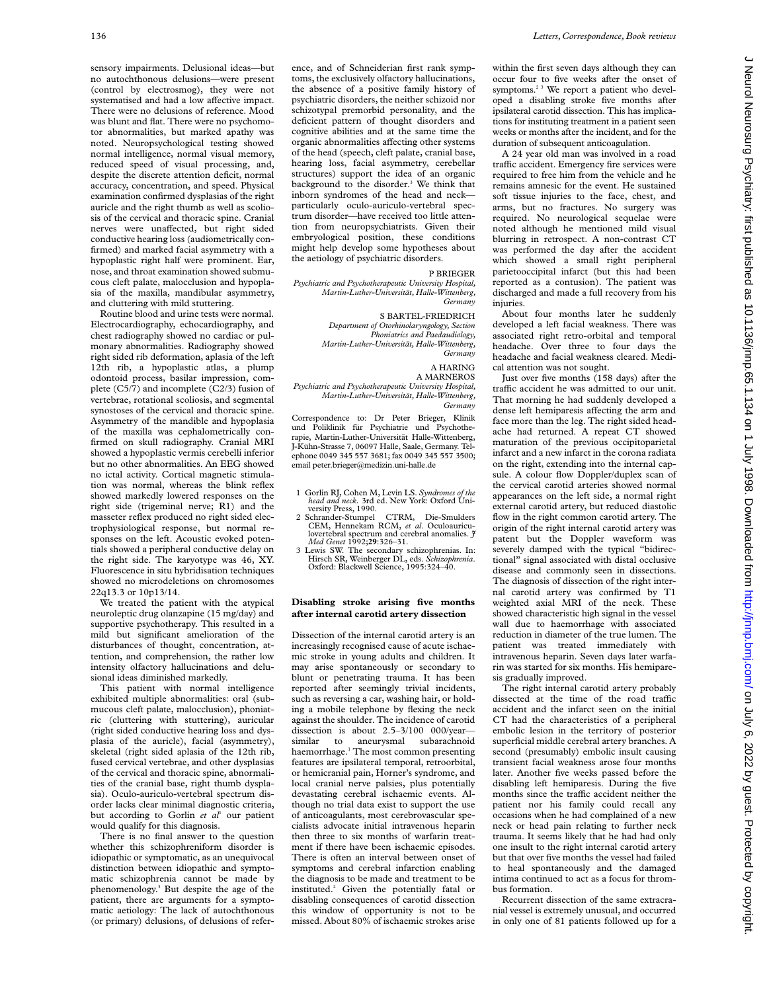sensory impairments. Delusional ideas—but no autochthonous delusions—were present (control by electrosmog), they were not systematised and had a low affective impact. There were no delusions of reference. Mood was blunt and flat. There were no psychomotor abnormalities, but marked apathy was noted. Neuropsychological testing showed normal intelligence, normal visual memory, reduced speed of visual processing, and, despite the discrete attention deficit, normal accuracy, concentration, and speed. Physical examination confirmed dysplasias of the right auricle and the right thumb as well as scoliosis of the cervical and thoracic spine. Cranial nerves were unaffected, but right sided conductive hearing loss (audiometrically confirmed) and marked facial asymmetry with a hypoplastic right half were prominent. Ear, nose, and throat examination showed submucous cleft palate, malocclusion and hypoplasia of the maxilla, mandibular asymmetry, and cluttering with mild stuttering.

Routine blood and urine tests were normal. Electrocardiography, echocardiography, and chest radiography showed no cardiac or pulmonary abnormalities. Radiography showed right sided rib deformation, aplasia of the left 12th rib, a hypoplastic atlas, a plump odontoid process, basilar impression, complete (C5/7) and incomplete (C2/3) fusion of vertebrae, rotational scoliosis, and segmental synostoses of the cervical and thoracic spine. Asymmetry of the mandible and hypoplasia of the maxilla was cephalometrically confirmed on skull radiography. Cranial MRI showed a hypoplastic vermis cerebelli inferior but no other abnormalities. An EEG showed no ictal activity. Cortical magnetic stimulation was normal, whereas the blink reflex showed markedly lowered responses on the right side (trigeminal nerve; R1) and the masseter reflex produced no right sided electrophysiological response, but normal responses on the left. Acoustic evoked potentials showed a peripheral conductive delay on the right side. The karyotype was 46, XY. Fluorescence in situ hybridisation techniques showed no microdeletions on chromosomes 22q13.3 or 10p13/14.

We treated the patient with the atypical neuroleptic drug olanzapine (15 mg/day) and supportive psychotherapy. This resulted in a mild but significant amelioration of the disturbances of thought, concentration, attention, and comprehension, the rather low intensity olfactory hallucinations and delusional ideas diminished markedly.

This patient with normal intelligence exhibited multiple abnormalities: oral (submucous cleft palate, malocclusion), phoniatric (cluttering with stuttering), auricular (right sided conductive hearing loss and dysplasia of the auricle), facial (asymmetry), skeletal (right sided aplasia of the 12th rib, fused cervical vertebrae, and other dysplasias of the cervical and thoracic spine, abnormalities of the cranial base, right thumb dysplasia). Oculo-auriculo-vertebral spectrum disorder lacks clear minimal diagnostic criteria, but according to Gorlin et al<sup>1</sup> our patient would qualify for this diagnosis.

There is no final answer to the question whether this schizophreniform disorder is idiopathic or symptomatic, as an unequivocal distinction between idiopathic and symptomatic schizophrenia cannot be made by phenomenology.3 But despite the age of the patient, there are arguments for a symptomatic aetiology: The lack of autochthonous (or primary) delusions, of delusions of reference, and of Schneiderian first rank symptoms, the exclusively olfactory hallucinations, the absence of a positive family history of psychiatric disorders, the neither schizoid nor schizotypal premorbid personality, and the deficient pattern of thought disorders and cognitive abilities and at the same time the organic abnormalities affecting other systems of the head (speech, cleft palate, cranial base, hearing loss, facial asymmetry, cerebellar structures) support the idea of an organic background to the disorder.<sup>3</sup> We think that inborn syndromes of the head and neck particularly oculo-auriculo-vertebral spectrum disorder—have received too little attention from neuropsychiatrists. Given their embryological position, these conditions might help develop some hypotheses about the aetiology of psychiatric disorders.

#### P BRIEGER

*Psychiatric and Psychotherapeutic University Hospital, Martin-Luther-Universität, Halle-Wittenberg, Germany*

> S BARTEL-FRIEDRICH *Department of Otorhinolaryngology, Section Phoniatrics and Paedaudiology, Martin-Luther-Universität, Halle-Wittenberg, Germany*

> > A HARING A MARNEROS

*Psychiatric and Psychotherapeutic University Hospital, Martin-Luther-Universität, Halle-Wittenberg, Germany*

Correspondence to: Dr Peter Brieger, Klinik und Poliklinik für Psychiatrie und Psychotherapie, Martin-Luther-Universität Halle-Wittenberg, J-Kühn-Strasse 7, 06097 Halle, Saale, Germany. Telephone 0049 345 557 3681; fax 0049 345 557 3500; email peter.brieger@medizin.uni-halle.de

- 1 Gorlin RJ, Cohen M, Levin LS. *Syndromes of the head and neck.* 3rd ed. New York: Oxford Uni-
- versity Press, 1990.<br>2 Schrander-Stumpel 2 Schrander-Stumpel CTRM, Die-Smulders CEM, Hennekam RCM, *et al*. Oculoauriculovertebral spectrum and cerebral anomalies. *J Med Genet* 1992;**29**:326–31.
- 3 Lewis SW. The secondary schizophrenias. In: Hirsch SR, Weinberger DL, eds. *Schizophrenia*. Oxford: Blackwell Science, 1995:324–40.

### **Disabling stroke arising five months after internal carotid artery dissection**

Dissection of the internal carotid artery is an increasingly recognised cause of acute ischaemic stroke in young adults and children. It may arise spontaneously or secondary to blunt or penetrating trauma. It has been reported after seemingly trivial incidents, such as reversing a car, washing hair, or holding a mobile telephone by flexing the neck against the shoulder. The incidence of carotid dissection is about 2.5–3/100 000/year—<br>similar to aneurysmal subarachnoid aneurysmal haemorrhage.<sup>1</sup> The most common presenting features are ipsilateral temporal, retroorbital, or hemicranial pain, Horner's syndrome, and local cranial nerve palsies, plus potentially devastating cerebral ischaemic events. Although no trial data exist to support the use of anticoagulants, most cerebrovascular specialists advocate initial intravenous heparin then three to six months of warfarin treatment if there have been ischaemic episodes. There is often an interval between onset of symptoms and cerebral infarction enabling the diagnosis to be made and treatment to be instituted.2 Given the potentially fatal or disabling consequences of carotid dissection this window of opportunity is not to be missed. About 80% of ischaemic strokes arise

within the first seven days although they can occur four to five weeks after the onset of symptoms.<sup>23</sup> We report a patient who developed a disabling stroke five months after ipsilateral carotid dissection. This has implications for instituting treatment in a patient seen weeks or months after the incident, and for the duration of subsequent anticoagulation.

A 24 year old man was involved in a road traffic accident. Emergency fire services were required to free him from the vehicle and he remains amnesic for the event. He sustained soft tissue injuries to the face, chest, and arms, but no fractures. No surgery was required. No neurological sequelae were noted although he mentioned mild visual blurring in retrospect. A non-contrast CT was performed the day after the accident which showed a small right peripheral parietooccipital infarct (but this had been reported as a contusion). The patient was discharged and made a full recovery from his injuries.

About four months later he suddenly developed a left facial weakness. There was associated right retro-orbital and temporal headache. Over three to four days the headache and facial weakness cleared. Medical attention was not sought.

Just over five months (158 days) after the traffic accident he was admitted to our unit. That morning he had suddenly developed a dense left hemiparesis affecting the arm and face more than the leg. The right sided headache had returned. A repeat CT showed maturation of the previous occipitoparietal infarct and a new infarct in the corona radiata on the right, extending into the internal capsule. A colour flow Doppler/duplex scan of the cervical carotid arteries showed normal appearances on the left side, a normal right external carotid artery, but reduced diastolic flow in the right common carotid artery. The origin of the right internal carotid artery was patent but the Doppler waveform was severely damped with the typical "bidirectional" signal associated with distal occlusive disease and commonly seen in dissections. The diagnosis of dissection of the right internal carotid artery was confirmed by T1 weighted axial MRI of the neck. These showed characteristic high signal in the vessel wall due to haemorrhage with associated reduction in diameter of the true lumen. The patient was treated immediately with intravenous heparin. Seven days later warfarin was started for six months. His hemiparesis gradually improved.

The right internal carotid artery probably dissected at the time of the road traffic accident and the infarct seen on the initial CT had the characteristics of a peripheral embolic lesion in the territory of posterior superficial middle cerebral artery branches. A second (presumably) embolic insult causing transient facial weakness arose four months later. Another five weeks passed before the disabling left hemiparesis. During the five months since the traffic accident neither the patient nor his family could recall any occasions when he had complained of a new neck or head pain relating to further neck trauma. It seems likely that he had had only one insult to the right internal carotid artery but that over five months the vessel had failed to heal spontaneously and the damaged intima continued to act as a focus for thrombus formation.

Recurrent dissection of the same extracranial vessel is extremely unusual, and occurred in only one of 81 patients followed up for a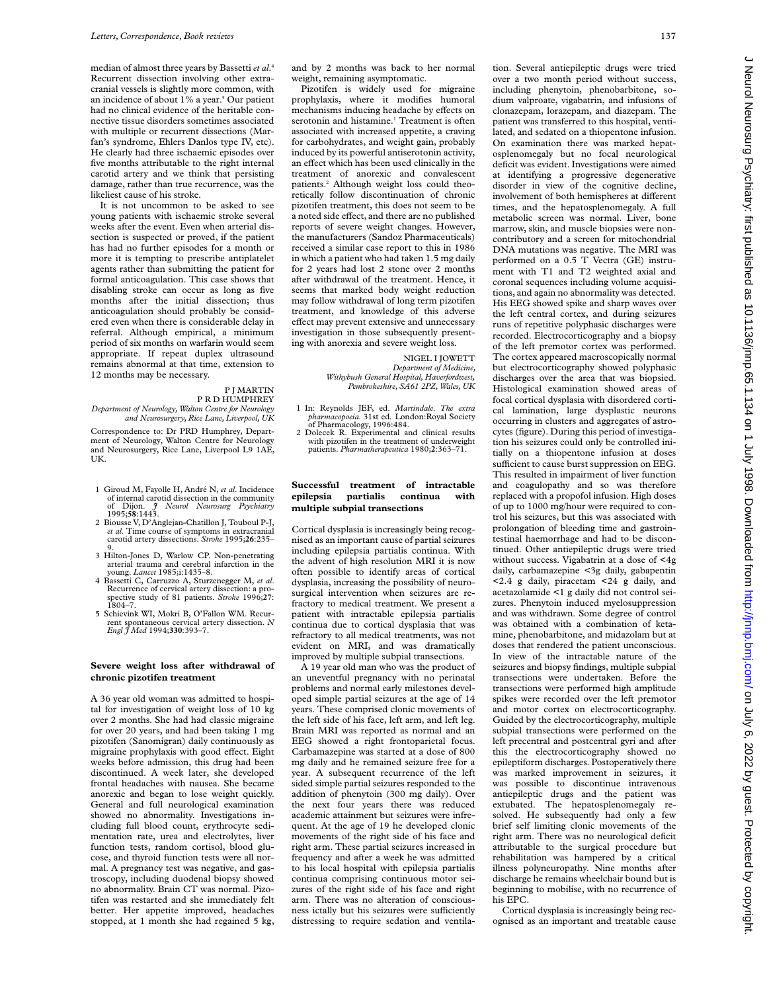median of almost three years by Bassetti *et al*. 4 Recurrent dissection involving other extracranial vessels is slightly more common, with an incidence of about  $1\%$  a year.<sup>5</sup> Our patient had no clinical evidence of the heritable connective tissue disorders sometimes associated with multiple or recurrent dissections (Marfan's syndrome, Ehlers Danlos type IV, etc). He clearly had three ischaemic episodes over five months attributable to the right internal carotid artery and we think that persisting damage, rather than true recurrence, was the likeliest cause of his stroke.

It is not uncommon to be asked to see young patients with ischaemic stroke several weeks after the event. Even when arterial dissection is suspected or proved, if the patient has had no further episodes for a month or more it is tempting to prescribe antiplatelet agents rather than submitting the patient for formal anticoagulation. This case shows that disabling stroke can occur as long as five months after the initial dissection; thus anticoagulation should probably be considered even when there is considerable delay in referral. Although empirical, a minimum period of six months on warfarin would seem appropriate. If repeat duplex ultrasound remains abnormal at that time, extension to 12 months may be necessary.

#### P J MARTIN P R D HUMPHREY

*Department of Neurology, Walton Centre for Neurology and Neurosurgery, Rice Lane, Liverpool, UK*

Correspondence to: Dr PRD Humphrey, Department of Neurology, Walton Centre for Neurology and Neurosurgery, Rice Lane, Liverpool L9 1AE, UK.

- 1 Giroud M, Fayolle H, André N, *et al*. Incidence of internal carotid dissection in the community of Dijon. *J Neurol Neurosurg Psychiatry* 1995;**58**:1443.
- 2 Biousse V, D'Anglejan-Chatillon J, Touboul P-J, *et al*. Time course of symptoms in extracranial carotid artery dissections. *Stroke* 1995;**26**:235–
- 9. 3 Hilton-Jones D, Warlow CP. Non-penetrating arterial trauma and cerebral infarction in the young. *Lancet* 1985;i:1435–8.
- 4 Bassetti C, Carruzzo A, Sturzenegger M, *et al*. Recurrence of cervical artery dissection: a prospective study of 81 patients. *Stroke* 1996;**27**: 1804–7.
- 5 Schievink WI, Mokri B, O'Fallon WM. Recur-rent spontaneous cervical artery dissection. *<sup>N</sup> Engl J Med* 1994;**330**:393–7.

## **Severe weight loss after withdrawal of chronic pizotifen treatment**

A 36 year old woman was admitted to hospital for investigation of weight loss of 10 kg over 2 months. She had had classic migraine for over 20 years, and had been taking 1 mg pizotifen (Sanomigran) daily continuously as migraine prophylaxis with good effect. Eight weeks before admission, this drug had been discontinued. A week later, she developed frontal headaches with nausea. She became anorexic and began to lose weight quickly. General and full neurological examination showed no abnormality. Investigations including full blood count, erythrocyte sedimentation rate, urea and electrolytes, liver function tests, random cortisol, blood glucose, and thyroid function tests were all normal. A pregnancy test was negative, and gastroscopy, including duodenal biopsy showed no abnormality. Brain CT was normal. Pizotifen was restarted and she immediately felt better. Her appetite improved, headaches stopped, at 1 month she had regained 5 kg, and by 2 months was back to her normal weight, remaining asymptomatic.

Pizotifen is widely used for migraine prophylaxis, where it modifies humoral mechanisms inducing headache by effects on serotonin and histamine.<sup>1</sup> Treatment is often associated with increased appetite, a craving for carbohydrates, and weight gain, probably induced by its powerful antiserotonin activity, an effect which has been used clinically in the treatment of anorexic and convalescent patients.<sup>2</sup> Although weight loss could theoretically follow discontinuation of chronic pizotifen treatment, this does not seem to be a noted side effect, and there are no published reports of severe weight changes. However, the manufacturers (Sandoz Pharmaceuticals) received a similar case report to this in 1986 in which a patient who had taken 1.5 mg daily for 2 years had lost 2 stone over 2 months after withdrawal of the treatment. Hence, it seems that marked body weight reduction may follow withdrawal of long term pizotifen treatment, and knowledge of this adverse effect may prevent extensive and unnecessary investigation in those subsequently presenting with anorexia and severe weight loss.

> NIGEL I JOWETT *Department of Medicine, Withybush General Hospital, Haverfordwest, Pembrokeshire, SA61 2PZ, Wales, UK*

- 1 In: Reynolds JEF, ed. *Martindale. The extra pharmacopoeia.* 31st ed*.* London:Royal Society of Pharmacology, 1996:484. 2 Dolecek R. Experimental and clinical results
- with pizotifen in the treatment of underweight patients. *Pharmatherapeutica* 1980;**2**:363–71.

## **Successful treatment of intractable epilepsia partialis continua with multiple subpial transections**

Cortical dysplasia is increasingly being recognised as an important cause of partial seizures including epilepsia partialis continua. With the advent of high resolution MRI it is now often possible to identify areas of cortical dysplasia, increasing the possibility of neurosurgical intervention when seizures are refractory to medical treatment. We present a patient with intractable epilepsia partialis continua due to cortical dysplasia that was refractory to all medical treatments, was not evident on MRI, and was dramatically improved by multiple subpial transections.

A 19 year old man who was the product of an uneventful pregnancy with no perinatal problems and normal early milestones developed simple partial seizures at the age of 14 years. These comprised clonic movements of the left side of his face, left arm, and left leg. Brain MRI was reported as normal and an EEG showed a right frontoparietal focus. Carbamazepine was started at a dose of 800 mg daily and he remained seizure free for a year. A subsequent recurrence of the left sided simple partial seizures responded to the addition of phenytoin (300 mg daily). Over the next four years there was reduced academic attainment but seizures were infrequent. At the age of 19 he developed clonic movements of the right side of his face and right arm. These partial seizures increased in frequency and after a week he was admitted to his local hospital with epilepsia partialis continua comprising continuous motor seizures of the right side of his face and right arm. There was no alteration of consciousness ictally but his seizures were sufficiently distressing to require sedation and ventilation. Several antiepileptic drugs were tried over a two month period without success, including phenytoin, phenobarbitone, sodium valproate, vigabatrin, and infusions of clonazepam, lorazepam, and diazepam. The patient was transferred to this hospital, ventilated, and sedated on a thiopentone infusion. On examination there was marked hepatosplenomegaly but no focal neurological deficit was evident. Investigations were aimed at identifying a progressive degenerative disorder in view of the cognitive decline, involvement of both hemispheres at different times, and the hepatosplenomegaly. A full metabolic screen was normal. Liver, bone marrow, skin, and muscle biopsies were noncontributory and a screen for mitochondrial DNA mutations was negative. The MRI was performed on a 0.5 T Vectra (GE) instrument with T1 and T2 weighted axial and coronal sequences including volume acquisitions, and again no abnormality was detected. His EEG showed spike and sharp waves over the left central cortex, and during seizures runs of repetitive polyphasic discharges were recorded. Electrocorticography and a biopsy of the left premotor cortex was performed. The cortex appeared macroscopically normal but electrocorticography showed polyphasic discharges over the area that was biopsied. Histological examination showed areas of focal cortical dysplasia with disordered cortical lamination, large dysplastic neurons occurring in clusters and aggregates of astrocytes (figure). During this period of investigation his seizures could only be controlled initially on a thiopentone infusion at doses sufficient to cause burst suppression on EEG. This resulted in impairment of liver function and coagulopathy and so was therefore replaced with a propofol infusion. High doses of up to 1000 mg/hour were required to control his seizures, but this was associated with prolongation of bleeding time and gastrointestinal haemorrhage and had to be discontinued. Other antiepileptic drugs were tried without success. Vigabatrin at a dose of <4g daily, carbamazepine <3g daily, gabapentin <2.4 g daily, piracetam <24 g daily, and acetazolamide <1 g daily did not control seizures. Phenytoin induced myelosuppression and was withdrawn. Some degree of control was obtained with a combination of ketamine, phenobarbitone, and midazolam but at doses that rendered the patient unconscious. In view of the intractable nature of the seizures and biopsy findings, multiple subpial transections were undertaken. Before the transections were performed high amplitude spikes were recorded over the left premotor and motor cortex on electrocorticography. Guided by the electrocorticography, multiple subpial transections were performed on the left precentral and postcentral gyri and after this the electrocorticography showed no epileptiform discharges. Postoperatively there was marked improvement in seizures, it was possible to discontinue intravenous antiepileptic drugs and the patient was extubated. The hepatosplenomegaly resolved. He subsequently had only a few brief self limiting clonic movements of the right arm. There was no neurological deficit attributable to the surgical procedure but rehabilitation was hampered by a critical illness polyneuropathy. Nine months after discharge he remains wheelchair bound but is beginning to mobilise, with no recurrence of his EPC.

Cortical dysplasia is increasingly being recognised as an important and treatable cause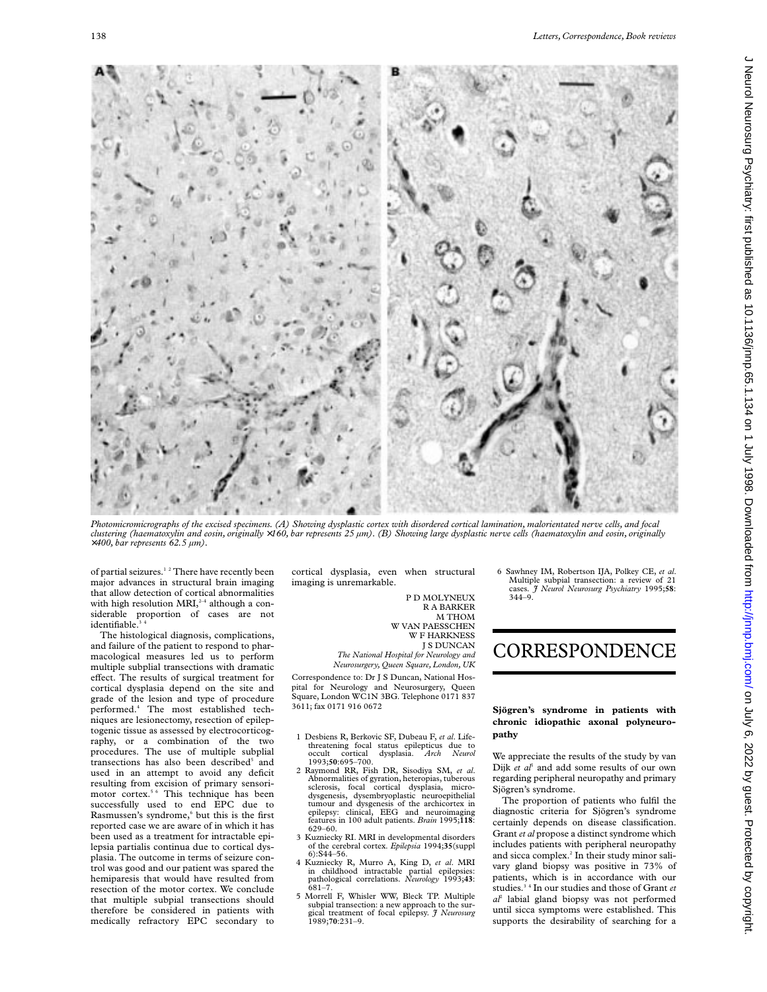

*Photomicromicrographs of the excised specimens. (A) Showing dysplastic cortex with disordered cortical lamination, malorientated nerve cells, and focal clustering (haematoxylin and eosin, originally* ×*160, bar represents 25 µm). (B) Showing large dysplastic nerve cells (haematoxylin and eosin, originally* ×*400, bar represents 62.5 µm).*

of partial seizures.<sup>12</sup> There have recently been major advances in structural brain imaging that allow detection of cortical abnormalities with high resolution MRI,<sup>2-4</sup> although a considerable proportion of cases are not identifiable.<sup>3</sup>

The histological diagnosis, complications, and failure of the patient to respond to pharmacological measures led us to perform multiple subplial transections with dramatic effect. The results of surgical treatment for cortical dysplasia depend on the site and grade of the lesion and type of procedure performed.4 The most established techniques are lesionectomy, resection of epileptogenic tissue as assessed by electrocorticography, or a combination of the two procedures. The use of multiple subplial transections has also been described<sup>5</sup> and used in an attempt to avoid any deficit resulting from excision of primary sensorimotor cortex.5 6 This technique has been successfully used to end EPC due to Rasmussen's syndrome,<sup>6</sup> but this is the first reported case we are aware of in which it has been used as a treatment for intractable epilepsia partialis continua due to cortical dysplasia. The outcome in terms of seizure control was good and our patient was spared the hemiparesis that would have resulted from resection of the motor cortex. We conclude that multiple subpial transections should therefore be considered in patients with medically refractory EPC secondary to

cortical dysplasia, even when structural imaging is unremarkable.

> P D MOLYNEUX R A BARKER M THOM W VAN PAESSCHEN W F HARKNESS **IS DUNCAN** *The National Hospital for Neurology and Neurosurgery, Queen Square, London, UK*

Correspondence to: Dr J S Duncan, National Hospital for Neurology and Neurosurgery, Queen Square, London WC1N 3BG. Telephone 0171 837 3611; fax 0171 916 0672

- 1 Desbiens R, Berkovic SF, Dubeau F, *et al*. Lifethreatening focal status epilepticus due to occult cortical dysplasia. *Arch Neurol* 1993;**50**:695–700.
- 2 Raymond RR, Fish DR, Sisodiya SM, *et al*. Abnormalities of gyration, heteropias, tuberous sclerosis, focal cortical dysplasia, microdysgenesis, dysembryoplastic neuroepithelial tumour and dysgenesis of the archicortex in epilepsy: clinical, EEG and neuroimaging features in 100 adult patients. *Brain* 1995;**118**: 629–60.
- 3 Kuzniecky RI. MRI in developmental disorders of the cerebral cortex. *Epilepsia* 1994;**35**(suppl 6):S44–56.
- 4 Kuzniecky R, Murro A, King D, *et al*. MRI in childhood intractable partial epilepsies: pathological correlations. *Neurology* 1993;**43**: 681–7.
- 5 Morrell F, Whisler WW, Bleck TP. Multiple subpial transection: a new approach to the surgical treatment of focal epilepsy. *J Neurosurg* 1989;**70**:231–9.

6 Sawhney IM, Robertson IJA, Polkey CE, *et al*. Multiple subpial transection: a review of 21 cases. *J Neurol Neurosurg Psychiatry* 1995;**58**: 344–9.

# **CORRESPONDENCE**

## **Sjögren's syndrome in patients with chronic idiopathic axonal polyneuropathy**

We appreciate the results of the study by van Dijk *et al*<sup>1</sup> and add some results of our own regarding peripheral neuropathy and primary Sjögren's syndrome.

The proportion of patients who fulfil the diagnostic criteria for Sjögren's syndrome certainly depends on disease classification. Grant *et al* propose a distinct syndrome which includes patients with peripheral neuropathy and sicca complex.<sup>2</sup> In their study minor salivary gland biopsy was positive in 73% of patients, which is in accordance with our studies.3 4 In our studies and those of Grant *et al*<sup>2</sup> labial gland biopsy was not performed until sicca symptoms were established. This supports the desirability of searching for a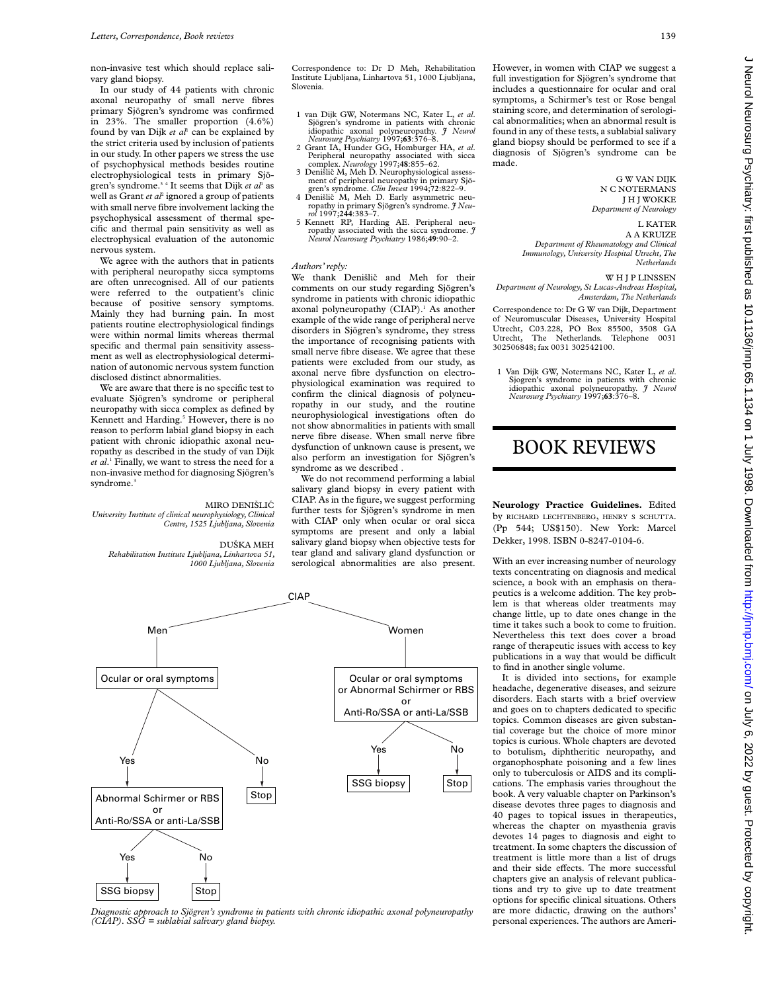non-invasive test which should replace salivary gland biopsy.

In our study of 44 patients with chronic axonal neuropathy of small nerve fibres primary Sjögren's syndrome was confirmed in 23%. The smaller proportion (4.6%) found by van Dijk et al<sup>1</sup> can be explained by the strict criteria used by inclusion of patients in our study. In other papers we stress the use of psychophysical methods besides routine electrophysiological tests in primary Sjögren's syndrome.<sup>34</sup> It seems that Dijk *et al*<sup>1</sup> as well as Grant *et al*<sup>2</sup> ignored a group of patients with small nerve fibre involvement lacking the psychophysical assessment of thermal specific and thermal pain sensitivity as well as electrophysical evaluation of the autonomic nervous system.

We agree with the authors that in patients with peripheral neuropathy sicca symptoms are often unrecognised. All of our patients were referred to the outpatient's clinic because of positive sensory symptoms. Mainly they had burning pain. In most patients routine electrophysiological findings were within normal limits whereas thermal specific and thermal pain sensitivity assessment as well as electrophysiological determination of autonomic nervous system function disclosed distinct abnormalities.

We are aware that there is no specific test to evaluate Sjögren's syndrome or peripheral neuropathy with sicca complex as defined by Kennett and Harding.<sup>5</sup> However, there is no reason to perform labial gland biopsy in each patient with chronic idiopathic axonal neuropathy as described in the study of van Dijk *et al*. <sup>1</sup> Finally, we want to stress the need for a non-invasive method for diagnosing Sjögren's syndrome.<sup>3</sup>

### MIRO DENIŠLIČ

*University Institute of clinical neurophysiology, Clinical Centre, 1525 Ljubljana, Slovenia*

# DUŠKA MEH

*Rehabilitation Institute Ljubljana, Linhartova 51, 1000 Ljubljana, Slovenia* Correspondence to: Dr D Meh, Rehabilitation Institute Ljubljana, Linhartova 51, 1000 Ljubljana, Slovenia.

- 1 van Dijk GW, Notermans NC, Kater L, *et al*. Sjögren's syndrome in patients with chronic idiopathic axonal polyneuropathy. *J Neurol Neurosurg Psychiatry* 1997;**63**:376–8.
- 2 Grant IA, Hunder GG, Homburger HA, *et al*. Peripheral neuropathy associated with sicca complex. *Neurology* 1997;48:855-62.<br>3 Denišlič M, Meh D. Neurophysiological assess-
- ment of peripheral neuropathy in primary Sjö-gren's syndrome. *Clin Invest* 1994;**72**:822–9.
- 4 Denišlič<sup>'</sup> M, Meh D. Early asymmetric neuropathy in primary Sjögren's syndrome. *J Neu-rol* 1997;**244**:383–7.
- 5 Kennett RP, Harding AE. Peripheral neu-ropathy associated with the sicca syndrome. *J Neurol Neurosurg Psychiatry* 1986;**49**:90–2.

### *Authors' reply:*

We thank Denišlič and Meh for their comments on our study regarding Sjögren's syndrome in patients with chronic idiopathic axonal polyneuropathy (CIAP).<sup>1</sup> As another example of the wide range of peripheral nerve disorders in Sjögren's syndrome, they stress the importance of recognising patients with small nerve fibre disease. We agree that these patients were excluded from our study, as axonal nerve fibre dysfunction on electrophysiological examination was required to confirm the clinical diagnosis of polyneuropathy in our study, and the routine neurophysiological investigations often do not show abnormalities in patients with small nerve fibre disease. When small nerve fibre dysfunction of unknown cause is present, we also perform an investigation for Sjögren's syndrome as we described .

We do not recommend performing a labial salivary gland biopsy in every patient with CIAP. As in the figure, we suggest performing further tests for Sjögren's syndrome in men with CIAP only when ocular or oral sicca symptoms are present and only a labial salivary gland biopsy when objective tests for tear gland and salivary gland dysfunction or serological abnormalities are also present.



*Diagnostic approach to Sjögren's syndrome in patients with chronic idiopathic axonal polyneuropathy (CIAP). SSG = sublabial salivary gland biopsy.*

However, in women with CIAP we suggest a full investigation for Sjögren's syndrome that includes a questionnaire for ocular and oral symptoms, a Schirmer's test or Rose bengal staining score, and determination of serological abnormalities; when an abnormal result is found in any of these tests, a sublabial salivary gland biopsy should be performed to see if a diagnosis of Sjögren's syndrome can be made.

> G W VAN DIJK N C NOTERMANS J H J WOKKE *Department of Neurology*

# L KATER

A A KRUIZE *Department of Rheumatology and Clinical Immunology, University Hospital Utrecht, The Netherlands*

#### W H J P LINSSEN

*Department of Neurology, St Lucas-Andreas Hospital, Amsterdam, The Netherlands*

Correspondence to: Dr G W van Dijk, Department of Neuromuscular Diseases, University Hospital Utrecht, C03.228, PO Box 85500, 3508 GA Utrecht, The Netherlands. Telephone 0031 302506848; fax 0031 302542100.

1 Van Dijk GW, Notermans NC, Kater L, *et al*. Sjogren's syndrome in patients with chronic idiopathic axonal polyneuropathy. *J Neurol Neurosurg Psychiatry* 1997;**63**:376–8.

# BOOK REVIEWS

**Neurology Practice Guidelines.** Edited by RICHARD LECHTENBERG, HENRY S SCHUTTA. (Pp 544; US\$150). New York: Marcel Dekker, 1998. ISBN 0-8247-0104-6.

With an ever increasing number of neurology texts concentrating on diagnosis and medical science, a book with an emphasis on therapeutics is a welcome addition. The key problem is that whereas older treatments may change little, up to date ones change in the time it takes such a book to come to fruition. Nevertheless this text does cover a broad range of therapeutic issues with access to key publications in a way that would be difficult to find in another single volume.

It is divided into sections, for example headache, degenerative diseases, and seizure disorders. Each starts with a brief overview and goes on to chapters dedicated to specific topics. Common diseases are given substantial coverage but the choice of more minor topics is curious. Whole chapters are devoted to botulism, diphtheritic neuropathy, and organophosphate poisoning and a few lines only to tuberculosis or AIDS and its complications. The emphasis varies throughout the book. A very valuable chapter on Parkinson's disease devotes three pages to diagnosis and 40 pages to topical issues in therapeutics, whereas the chapter on myasthenia gravis devotes 14 pages to diagnosis and eight to treatment. In some chapters the discussion of treatment is little more than a list of drugs and their side effects. The more successful chapters give an analysis of relevant publications and try to give up to date treatment options for specific clinical situations. Others are more didactic, drawing on the authors' personal experiences. The authors are Ameri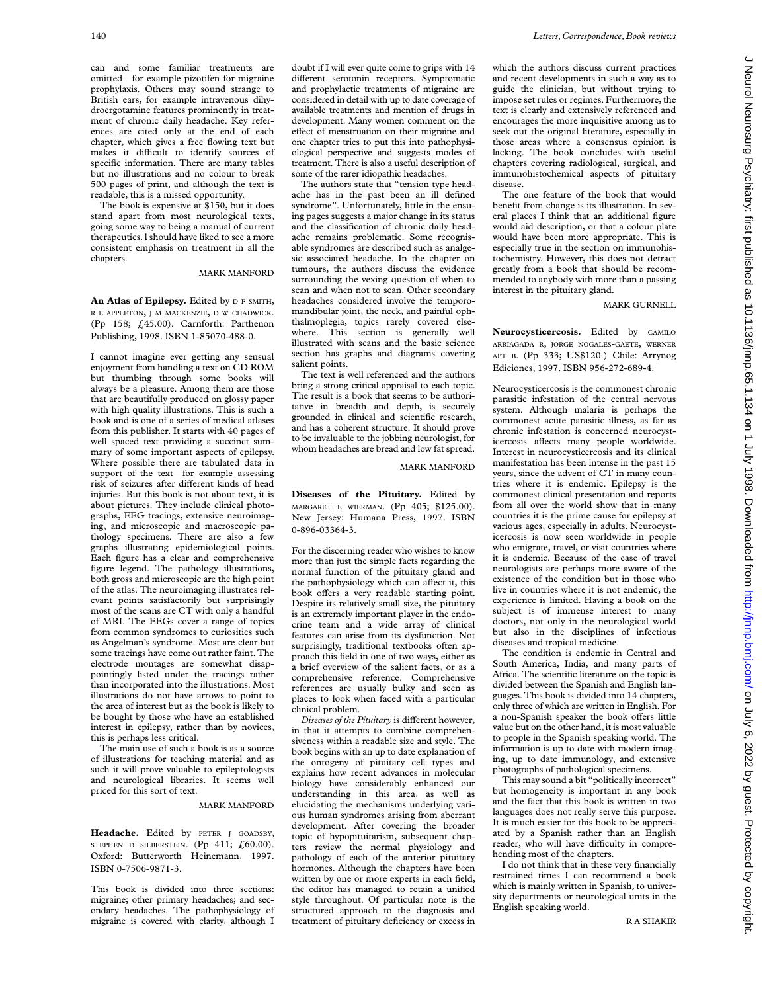can and some familiar treatments are omitted—for example pizotifen for migraine prophylaxis. Others may sound strange to British ears, for example intravenous dihydroergotamine features prominently in treatment of chronic daily headache. Key references are cited only at the end of each chapter, which gives a free flowing text but makes it difficult to identify sources of specific information. There are many tables but no illustrations and no colour to break 500 pages of print, and although the text is readable, this is a missed opportunity.

The book is expensive at \$150, but it does stand apart from most neurological texts, going some way to being a manual of current therapeutics. l should have liked to see a more consistent emphasis on treatment in all the chapters.

### MARK MANFORD

**An Atlas of Epilepsy.** Edited by D F SMITH, R E APPLETON, J M MACKENZIE, D W CHADWICK. (Pp 158; £45.00). Carnforth: Parthenon Publishing, 1998. ISBN 1-85070-488-0.

I cannot imagine ever getting any sensual enjoyment from handling a text on CD ROM but thumbing through some books will always be a pleasure. Among them are those that are beautifully produced on glossy paper with high quality illustrations. This is such a book and is one of a series of medical atlases from this publisher. It starts with 40 pages of well spaced text providing a succinct summary of some important aspects of epilepsy. Where possible there are tabulated data in support of the text—for example assessing risk of seizures after different kinds of head injuries. But this book is not about text, it is about pictures. They include clinical photographs, EEG tracings, extensive neuroimaging, and microscopic and macroscopic pathology specimens. There are also a few graphs illustrating epidemiological points. Each figure has a clear and comprehensive figure legend. The pathology illustrations, both gross and microscopic are the high point of the atlas. The neuroimaging illustrates relevant points satisfactorily but surprisingly most of the scans are CT with only a handful of MRI. The EEGs cover a range of topics from common syndromes to curiosities such as Angelman's syndrome. Most are clear but some tracings have come out rather faint. The electrode montages are somewhat disappointingly listed under the tracings rather than incorporated into the illustrations. Most illustrations do not have arrows to point to the area of interest but as the book is likely to be bought by those who have an established interest in epilepsy, rather than by novices, this is perhaps less critical.

The main use of such a book is as a source of illustrations for teaching material and as such it will prove valuable to epileptologists and neurological libraries. It seems well priced for this sort of text.

### MARK MANFORD

**Headache.** Edited by PETER J GOADSBY, STEPHEN D SILBERSTEIN.  $($ Pp 411;  $f$ , 60.00). Oxford: Butterworth Heinemann, 1997. ISBN 0-7506-9871-3.

This book is divided into three sections: migraine; other primary headaches; and secondary headaches. The pathophysiology of migraine is covered with clarity, although I

doubt if I will ever quite come to grips with 14 different serotonin receptors. Symptomatic and prophylactic treatments of migraine are considered in detail with up to date coverage of available treatments and mention of drugs in development. Many women comment on the effect of menstruation on their migraine and one chapter tries to put this into pathophysiological perspective and suggests modes of treatment. There is also a useful description of some of the rarer idiopathic headaches.

The authors state that "tension type headache has in the past been an ill defined syndrome". Unfortunately, little in the ensuing pages suggests a major change in its status and the classification of chronic daily headache remains problematic. Some recognisable syndromes are described such as analgesic associated headache. In the chapter on tumours, the authors discuss the evidence surrounding the vexing question of when to scan and when not to scan. Other secondary headaches considered involve the temporomandibular joint, the neck, and painful ophthalmoplegia, topics rarely covered elsewhere. This section is generally well illustrated with scans and the basic science section has graphs and diagrams covering salient points.

The text is well referenced and the authors bring a strong critical appraisal to each topic. The result is a book that seems to be authoritative in breadth and depth, is securely grounded in clinical and scientific research, and has a coherent structure. It should prove to be invaluable to the jobbing neurologist, for whom headaches are bread and low fat spread.

MARK MANFORD

**Diseases of the Pituitary.** Edited by MARGARET E WIERMAN. (Pp 405; \$125.00). New Jersey: Humana Press, 1997. ISBN 0-896-03364-3.

For the discerning reader who wishes to know more than just the simple facts regarding the normal function of the pituitary gland and the pathophysiology which can affect it, this book offers a very readable starting point. Despite its relatively small size, the pituitary is an extremely important player in the endocrine team and a wide array of clinical features can arise from its dysfunction. Not surprisingly, traditional textbooks often approach this field in one of two ways, either as a brief overview of the salient facts, or as a comprehensive reference. Comprehensive references are usually bulky and seen as places to look when faced with a particular clinical problem.

**Diseases of the Pituitary is different however,** in that it attempts to combine comprehensiveness within a readable size and style. The book begins with an up to date explanation of the ontogeny of pituitary cell types and explains how recent advances in molecular biology have considerably enhanced our understanding in this area, as well as elucidating the mechanisms underlying various human syndromes arising from aberrant development. After covering the broader topic of hypopituitarism, subsequent chapters review the normal physiology and pathology of each of the anterior pituitary hormones. Although the chapters have been written by one or more experts in each field, the editor has managed to retain a unified style throughout. Of particular note is the structured approach to the diagnosis and treatment of pituitary deficiency or excess in

which the authors discuss current practices and recent developments in such a way as to guide the clinician, but without trying to impose set rules or regimes. Furthermore, the text is clearly and extensively referenced and encourages the more inquisitive among us to seek out the original literature, especially in those areas where a consensus opinion is lacking. The book concludes with useful chapters covering radiological, surgical, and immunohistochemical aspects of pituitary disease.

The one feature of the book that would benefit from change is its illustration. In several places I think that an additional figure would aid description, or that a colour plate would have been more appropriate. This is especially true in the section on immunohistochemistry. However, this does not detract greatly from a book that should be recommended to anybody with more than a passing interest in the pituitary gland.

MARK GURNELL

**Neurocysticercosis.** Edited by CAMILO ARRIAGADA R, JORGE NOGALES-GAETE, WERNER APT B. (Pp 333; US\$120.) Chile: Arrynog Ediciones, 1997. ISBN 956-272-689-4.

Neurocysticercosis is the commonest chronic parasitic infestation of the central nervous system. Although malaria is perhaps the commonest acute parasitic illness, as far as chronic infestation is concerned neurocysticercosis affects many people worldwide. Interest in neurocysticercosis and its clinical manifestation has been intense in the past 15 years, since the advent of CT in many countries where it is endemic. Epilepsy is the commonest clinical presentation and reports from all over the world show that in many countries it is the prime cause for epilepsy at various ages, especially in adults. Neurocysticercosis is now seen worldwide in people who emigrate, travel, or visit countries where it is endemic. Because of the ease of travel neurologists are perhaps more aware of the existence of the condition but in those who live in countries where it is not endemic, the experience is limited. Having a book on the subject is of immense interest to many doctors, not only in the neurological world but also in the disciplines of infectious diseases and tropical medicine.

The condition is endemic in Central and South America, India, and many parts of Africa. The scientific literature on the topic is divided between the Spanish and English languages. This book is divided into 14 chapters, only three of which are written in English. For a non-Spanish speaker the book offers little value but on the other hand, it is most valuable to people in the Spanish speaking world. The information is up to date with modern imaging, up to date immunology, and extensive photographs of pathological specimens.

This may sound a bit "politically incorrect" but homogeneity is important in any book and the fact that this book is written in two languages does not really serve this purpose. It is much easier for this book to be appreciated by a Spanish rather than an English reader, who will have difficulty in comprehending most of the chapters.

I do not think that in these very financially restrained times I can recommend a book which is mainly written in Spanish, to university departments or neurological units in the English speaking world.